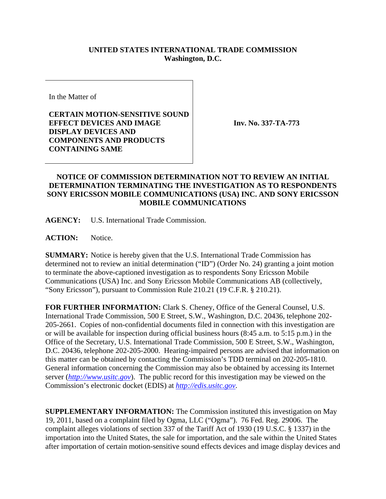## **UNITED STATES INTERNATIONAL TRADE COMMISSION Washington, D.C.**

In the Matter of

**CERTAIN MOTION-SENSITIVE SOUND EFFECT DEVICES AND IMAGE DISPLAY DEVICES AND COMPONENTS AND PRODUCTS CONTAINING SAME** 

**Inv. No. 337-TA-773**

## **NOTICE OF COMMISSION DETERMINATION NOT TO REVIEW AN INITIAL DETERMINATION TERMINATING THE INVESTIGATION AS TO RESPONDENTS SONY ERICSSON MOBILE COMMUNICATIONS (USA) INC. AND SONY ERICSSON MOBILE COMMUNICATIONS**

**AGENCY:** U.S. International Trade Commission.

**ACTION:** Notice.

**SUMMARY:** Notice is hereby given that the U.S. International Trade Commission has determined not to review an initial determination ("ID") (Order No. 24) granting a joint motion to terminate the above-captioned investigation as to respondents Sony Ericsson Mobile Communications (USA) Inc. and Sony Ericsson Mobile Communications AB (collectively, "Sony Ericsson"), pursuant to Commission Rule 210.21 (19 C.F.R. § 210.21).

**FOR FURTHER INFORMATION:** Clark S. Cheney, Office of the General Counsel, U.S. International Trade Commission, 500 E Street, S.W., Washington, D.C. 20436, telephone 202- 205-2661. Copies of non-confidential documents filed in connection with this investigation are or will be available for inspection during official business hours (8:45 a.m. to 5:15 p.m.) in the Office of the Secretary, U.S. International Trade Commission, 500 E Street, S.W., Washington, D.C. 20436, telephone 202-205-2000. Hearing-impaired persons are advised that information on this matter can be obtained by contacting the Commission's TDD terminal on 202-205-1810. General information concerning the Commission may also be obtained by accessing its Internet server (*http://www.usitc.gov*). The public record for this investigation may be viewed on the Commission's electronic docket (EDIS) at *http://edis.usitc.gov*.

**SUPPLEMENTARY INFORMATION:** The Commission instituted this investigation on May 19, 2011, based on a complaint filed by Ogma, LLC ("Ogma"). 76 Fed. Reg. 29006. The complaint alleges violations of section 337 of the Tariff Act of 1930 (19 U.S.C. § 1337) in the importation into the United States, the sale for importation, and the sale within the United States after importation of certain motion-sensitive sound effects devices and image display devices and